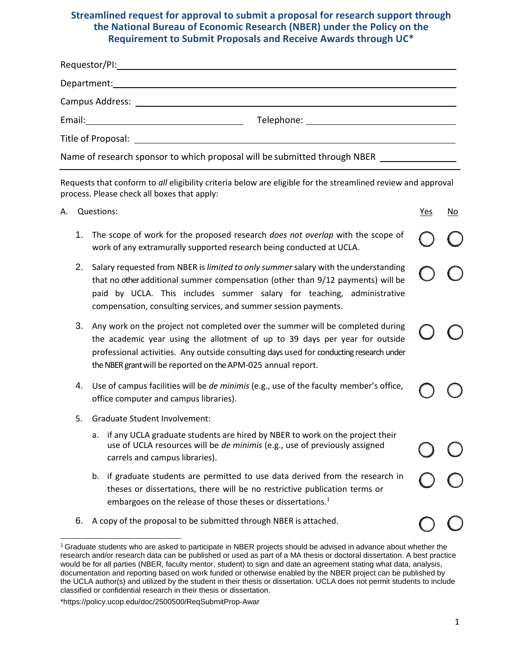## **Streamlined request for approval to submit a proposal for research support through the National Bureau of Economic Research (NBER) under the Policy on the Requirement to Submit Proposals and Receive Awards through UC\***

| Campus Address: University of the Campus Address: University of the Campus Address: University of the Campus A |                                                                           |
|----------------------------------------------------------------------------------------------------------------|---------------------------------------------------------------------------|
|                                                                                                                |                                                                           |
|                                                                                                                |                                                                           |
|                                                                                                                | Name of research sponsor to which proposal will be submitted through NBER |

Requests that conform to *all* eligibility criteria below are eligible for the streamlined review and approval process. Please check all boxes that apply:

A. Questions: Yes No. 2014. The Manual Contract of the Manual Contract of the Manual Contract of the Manual Contract of the Manual Contract of the Manual Contract of the Manual Contract of the Manual Contract of the Manual

- 1. The scope of work for the proposed research *does not overlap* with the scope of work of any extramurally supported research being conducted at UCLA. 2. Salary requested from NBER is *limited to only summer*salary with the understanding that no other additional summer compensation (other than 9/12 payments) will be paid by UCLA. This includes summer salary for teaching, administrative compensation, consulting services, and summer session payments. 3. Any work on the project not completed over the summer will be completed during the academic year using the allotment of up to 39 days per year for outside professional activities. Any outside consulting days used for conducting research under the NBER grant will be reported on the APM-025 annual report.
	- 4. Use of campus facilities will be *de minimis* (e.g., use of the faculty member's office, office computer and campus libraries).
	- 5. Graduate Student Involvement:
		- a. if any UCLA graduate students are hired by NBER to work on the project their use of UCLA resources will be *de minimis* (e.g., use of previously assigned carrels and campus libraries).
		- b. if graduate students are permitted to use data derived from the research in theses or dissertations, there will be no restrictive publication terms or embargoes on the release of those theses or dissertations.<sup>1</sup>
	- 6. A copy of the proposal to be submitted through NBER is attached.

<span id="page-0-0"></span><sup>1</sup> Graduate students who are asked to participate in NBER projects should be advised in advance about whether the research and/or research data can be published or used as part of a MA thesis or doctoral dissertation. A best practice would be for all parties (NBER, faculty mentor, student) to sign and date an agreement stating what data, analysis, documentation and reporting based on work funded or otherwise enabled by the NBER project can be published by the UCLA author(s) and utilized by the student in their thesis or dissertation. UCLA does not permit students to include classified or confidential research in their thesis or dissertation.

<sup>\*</sup>https://policy.ucop.edu/doc/2500500/ReqSubmitProp-Awar